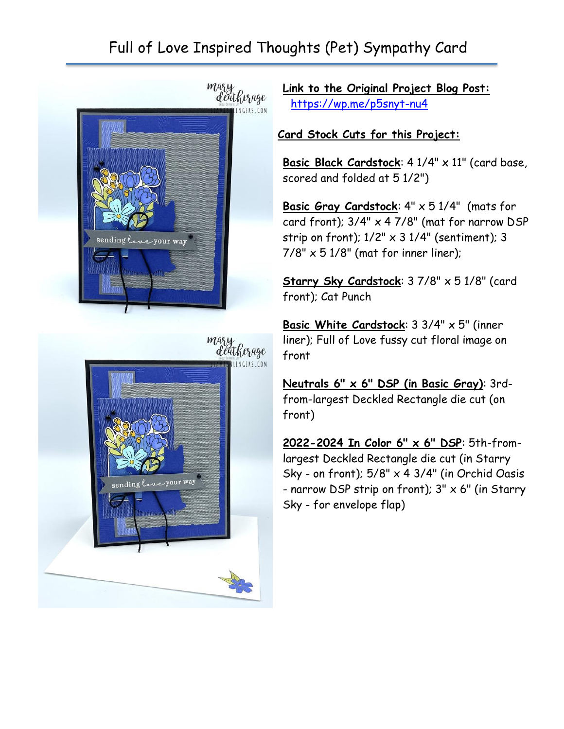## Full of Love Inspired Thoughts (Pet) Sympathy Card





**Link to the Original Project Blog Post:** <https://wp.me/p5snyt-nu4>

## **Card Stock Cuts for this Project:**

**Basic Black Cardstock**: 4 1/4" x 11" (card base, scored and folded at 5 1/2")

**Basic Gray Cardstock**: 4" x 5 1/4" (mats for card front); 3/4" x 4 7/8" (mat for narrow DSP strip on front);  $1/2" \times 3$   $1/4"$  (sentiment); 3  $7/8" \times 51/8"$  (mat for inner liner);

Starry Sky Cardstock: 3 7/8" x 5 1/8" (card front); Cat Punch

**Basic White Cardstock**: 3 3/4" x 5" (inner liner); Full of Love fussy cut floral image on front

**Neutrals 6" x 6" DSP (in Basic Gray)**: 3rdfrom-largest Deckled Rectangle die cut (on front)

**2022-2024 In Color 6" x 6" DSP**: 5th-fromlargest Deckled Rectangle die cut (in Starry Sky - on front);  $5/8" \times 4 \frac{3}{4"}$  (in Orchid Oasis - narrow DSP strip on front);  $3'' \times 6''$  (in Starry Sky - for envelope flap)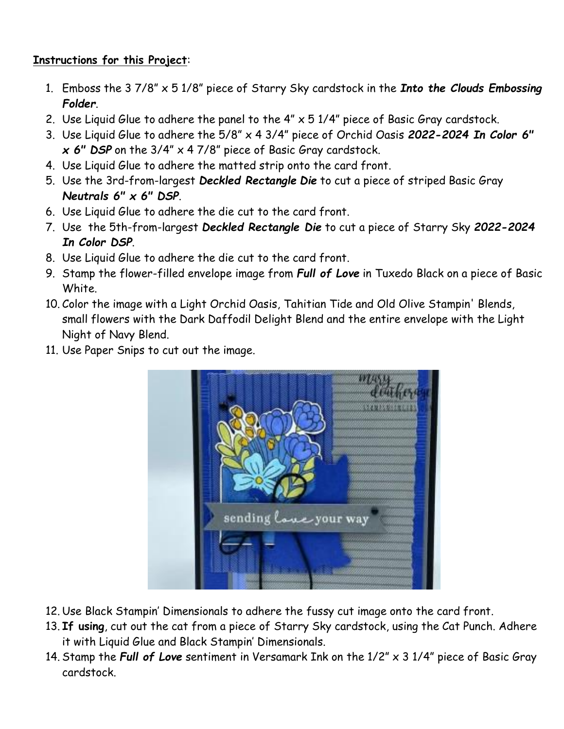## **Instructions for this Project**:

- 1. Emboss the 3 7/8" x 5 1/8" piece of Starry Sky cardstock in the *Into the Clouds Embossing Folder*.
- 2. Use Liquid Glue to adhere the panel to the  $4'' \times 51/4''$  piece of Basic Gray cardstock.
- 3. Use Liquid Glue to adhere the 5/8" x 4 3/4" piece of Orchid Oasis *2022-2024 In Color 6" x 6" DSP* on the 3/4" x 4 7/8" piece of Basic Gray cardstock.
- 4. Use Liquid Glue to adhere the matted strip onto the card front.
- 5. Use the 3rd-from-largest *Deckled Rectangle Die* to cut a piece of striped Basic Gray *Neutrals 6" x 6" DSP*.
- 6. Use Liquid Glue to adhere the die cut to the card front.
- 7. Use the 5th-from-largest *Deckled Rectangle Die* to cut a piece of Starry Sky *2022-2024 In Color DSP*.
- 8. Use Liquid Glue to adhere the die cut to the card front.
- 9. Stamp the flower-filled envelope image from *Full of Love* in Tuxedo Black on a piece of Basic White.
- 10. Color the image with a Light Orchid Oasis, Tahitian Tide and Old Olive Stampin' Blends, small flowers with the Dark Daffodil Delight Blend and the entire envelope with the Light Night of Navy Blend.
- 11. Use Paper Snips to cut out the image.



- 12. Use Black Stampin' Dimensionals to adhere the fussy cut image onto the card front.
- 13. **If using**, cut out the cat from a piece of Starry Sky cardstock, using the Cat Punch. Adhere it with Liquid Glue and Black Stampin' Dimensionals.
- 14. Stamp the *Full of Love* sentiment in Versamark Ink on the 1/2" x 3 1/4" piece of Basic Gray cardstock.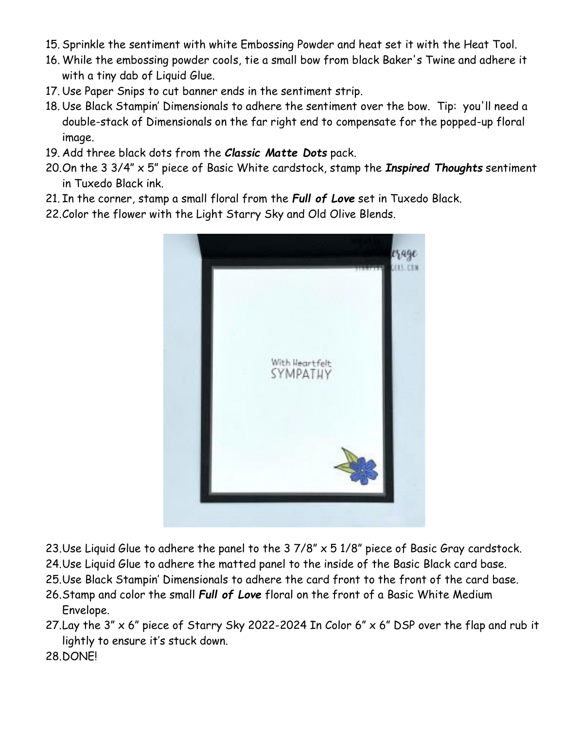- 15. Sprinkle the sentiment with white Embossing Powder and heat set it with the Heat Tool.
- 16. While the embossing powder cools, tie a small bow from black Baker's Twine and adhere it with a tiny dab of Liquid Glue.
- 17. Use Paper Snips to cut banner ends in the sentiment strip.
- 18. Use Black Stampin' Dimensionals to adhere the sentiment over the bow. Tip: you'll need a double-stack of Dimensionals on the far right end to compensate for the popped-up floral image.
- 19. Add three black dots from the *Classic Matte Dots* pack.
- 20.On the 3 3/4" x 5" piece of Basic White cardstock, stamp the *Inspired Thoughts* sentiment in Tuxedo Black ink.
- 21. In the corner, stamp a small floral from the *Full of Love* set in Tuxedo Black.
- 22.Color the flower with the Light Starry Sky and Old Olive Blends.



- 23. Use Liquid Glue to adhere the panel to the  $37/8$ "  $\times$   $51/8$ " piece of Basic Gray cardstock.
- 24.Use Liquid Glue to adhere the matted panel to the inside of the Basic Black card base.
- 25.Use Black Stampin' Dimensionals to adhere the card front to the front of the card base.
- 26.Stamp and color the small *Full of Love* floral on the front of a Basic White Medium Envelope.
- 27. Lay the  $3'' \times 6''$  piece of Starry Sky 2022-2024 In Color  $6'' \times 6''$  DSP over the flap and rub it lightly to ensure it's stuck down.
- 28.DONE!